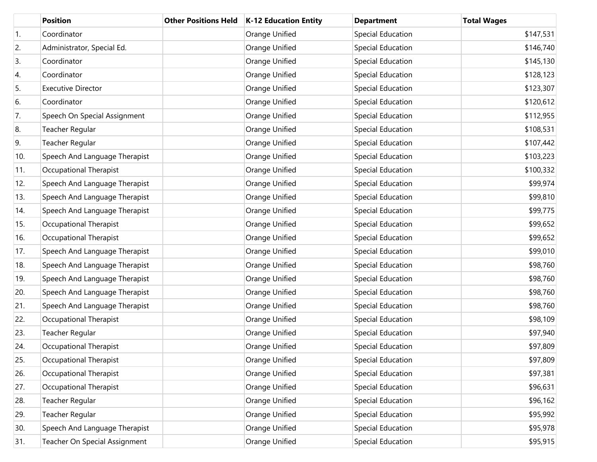|                  | <b>Position</b>               | <b>Other Positions Held</b> | <b>K-12 Education Entity</b> | <b>Department</b>        | <b>Total Wages</b> |
|------------------|-------------------------------|-----------------------------|------------------------------|--------------------------|--------------------|
| $\overline{1}$ . | Coordinator                   |                             | Orange Unified               | Special Education        | \$147,531          |
| 2.               | Administrator, Special Ed.    |                             | Orange Unified               | Special Education        | \$146,740          |
| 3.               | Coordinator                   |                             | Orange Unified               | Special Education        | \$145,130          |
| 4.               | Coordinator                   |                             | Orange Unified               | Special Education        | \$128,123          |
| 5.               | <b>Executive Director</b>     |                             | Orange Unified               | Special Education        | \$123,307          |
| 6.               | Coordinator                   |                             | Orange Unified               | Special Education        | \$120,612          |
| 7.               | Speech On Special Assignment  |                             | Orange Unified               | Special Education        | \$112,955          |
| 8.               | Teacher Regular               |                             | Orange Unified               | Special Education        | \$108,531          |
| 9.               | Teacher Regular               |                             | Orange Unified               | Special Education        | \$107,442          |
| 10.              | Speech And Language Therapist |                             | Orange Unified               | Special Education        | \$103,223          |
| 11.              | Occupational Therapist        |                             | Orange Unified               | Special Education        | \$100,332          |
| 12.              | Speech And Language Therapist |                             | Orange Unified               | Special Education        | \$99,974           |
| 13.              | Speech And Language Therapist |                             | Orange Unified               | Special Education        | \$99,810           |
| 14.              | Speech And Language Therapist |                             | Orange Unified               | Special Education        | \$99,775           |
| 15.              | Occupational Therapist        |                             | Orange Unified               | Special Education        | \$99,652           |
| 16.              | Occupational Therapist        |                             | Orange Unified               | Special Education        | \$99,652           |
| 17.              | Speech And Language Therapist |                             | Orange Unified               | Special Education        | \$99,010           |
| 18.              | Speech And Language Therapist |                             | Orange Unified               | Special Education        | \$98,760           |
| 19.              | Speech And Language Therapist |                             | Orange Unified               | Special Education        | \$98,760           |
| 20.              | Speech And Language Therapist |                             | Orange Unified               | Special Education        | \$98,760           |
| 21.              | Speech And Language Therapist |                             | Orange Unified               | Special Education        | \$98,760           |
| 22.              | Occupational Therapist        |                             | Orange Unified               | Special Education        | \$98,109           |
| 23.              | Teacher Regular               |                             | Orange Unified               | Special Education        | \$97,940           |
| 24.              | Occupational Therapist        |                             | Orange Unified               | Special Education        | \$97,809           |
| 25.              | Occupational Therapist        |                             | Orange Unified               | Special Education        | \$97,809           |
| 26.              | Occupational Therapist        |                             | Orange Unified               | Special Education        | \$97,381           |
| 27.              | Occupational Therapist        |                             | Orange Unified               | Special Education        | \$96,631           |
| 28.              | <b>Teacher Regular</b>        |                             | Orange Unified               | Special Education        | \$96,162           |
| 29.              | Teacher Regular               |                             | Orange Unified               | <b>Special Education</b> | \$95,992           |
| 30.              | Speech And Language Therapist |                             | Orange Unified               | <b>Special Education</b> | \$95,978           |
| 31.              | Teacher On Special Assignment |                             | Orange Unified               | Special Education        | \$95,915           |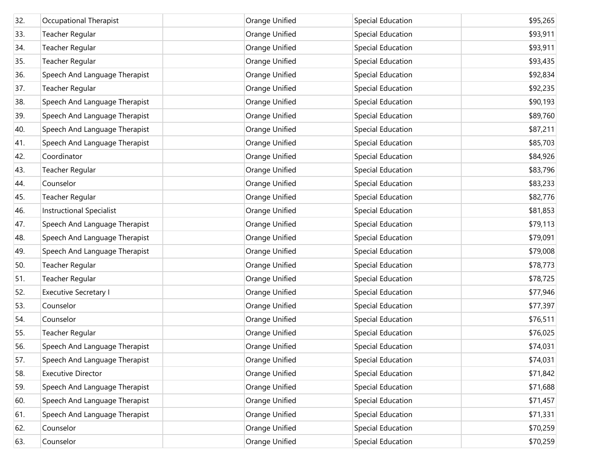| 32. | Occupational Therapist          | Orange Unified | Special Education        | \$95,265 |
|-----|---------------------------------|----------------|--------------------------|----------|
| 33. | Teacher Regular                 | Orange Unified | Special Education        | \$93,911 |
| 34. | Teacher Regular                 | Orange Unified | Special Education        | \$93,911 |
| 35. | Teacher Regular                 | Orange Unified | Special Education        | \$93,435 |
| 36. | Speech And Language Therapist   | Orange Unified | Special Education        | \$92,834 |
| 37. | Teacher Regular                 | Orange Unified | Special Education        | \$92,235 |
| 38. | Speech And Language Therapist   | Orange Unified | Special Education        | \$90,193 |
| 39. | Speech And Language Therapist   | Orange Unified | Special Education        | \$89,760 |
| 40. | Speech And Language Therapist   | Orange Unified | Special Education        | \$87,211 |
| 41. | Speech And Language Therapist   | Orange Unified | Special Education        | \$85,703 |
| 42. | Coordinator                     | Orange Unified | Special Education        | \$84,926 |
| 43. | Teacher Regular                 | Orange Unified | Special Education        | \$83,796 |
| 44. | Counselor                       | Orange Unified | Special Education        | \$83,233 |
| 45. | Teacher Regular                 | Orange Unified | Special Education        | \$82,776 |
| 46. | <b>Instructional Specialist</b> | Orange Unified | Special Education        | \$81,853 |
| 47. | Speech And Language Therapist   | Orange Unified | Special Education        | \$79,113 |
| 48. | Speech And Language Therapist   | Orange Unified | Special Education        | \$79,091 |
| 49. | Speech And Language Therapist   | Orange Unified | Special Education        | \$79,008 |
| 50. | Teacher Regular                 | Orange Unified | Special Education        | \$78,773 |
| 51. | Teacher Regular                 | Orange Unified | Special Education        | \$78,725 |
| 52. | <b>Executive Secretary I</b>    | Orange Unified | Special Education        | \$77,946 |
| 53. | Counselor                       | Orange Unified | Special Education        | \$77,397 |
| 54. | Counselor                       | Orange Unified | <b>Special Education</b> | \$76,511 |
| 55. | Teacher Regular                 | Orange Unified | Special Education        | \$76,025 |
| 56. | Speech And Language Therapist   | Orange Unified | Special Education        | \$74,031 |
| 57. | Speech And Language Therapist   | Orange Unified | Special Education        | \$74,031 |
| 58. | <b>Executive Director</b>       | Orange Unified | <b>Special Education</b> | \$71,842 |
| 59. | Speech And Language Therapist   | Orange Unified | <b>Special Education</b> | \$71,688 |
| 60. | Speech And Language Therapist   | Orange Unified | <b>Special Education</b> | \$71,457 |
| 61. | Speech And Language Therapist   | Orange Unified | <b>Special Education</b> | \$71,331 |
| 62. | Counselor                       | Orange Unified | <b>Special Education</b> | \$70,259 |
| 63. | Counselor                       | Orange Unified | <b>Special Education</b> | \$70,259 |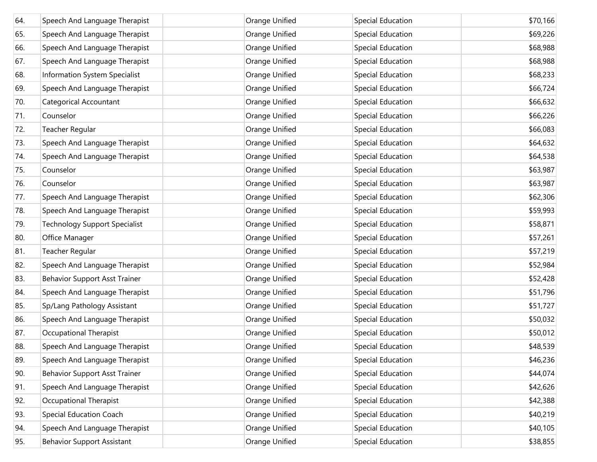| 64. | Speech And Language Therapist        | Orange Unified | Special Education        | \$70,166 |
|-----|--------------------------------------|----------------|--------------------------|----------|
| 65. | Speech And Language Therapist        | Orange Unified | Special Education        | \$69,226 |
| 66. | Speech And Language Therapist        | Orange Unified | Special Education        | \$68,988 |
| 67. | Speech And Language Therapist        | Orange Unified | Special Education        | \$68,988 |
| 68. | Information System Specialist        | Orange Unified | Special Education        | \$68,233 |
| 69. | Speech And Language Therapist        | Orange Unified | Special Education        | \$66,724 |
| 70. | Categorical Accountant               | Orange Unified | Special Education        | \$66,632 |
| 71. | Counselor                            | Orange Unified | Special Education        | \$66,226 |
| 72. | Teacher Regular                      | Orange Unified | Special Education        | \$66,083 |
| 73. | Speech And Language Therapist        | Orange Unified | Special Education        | \$64,632 |
| 74. | Speech And Language Therapist        | Orange Unified | Special Education        | \$64,538 |
| 75. | Counselor                            | Orange Unified | Special Education        | \$63,987 |
| 76. | Counselor                            | Orange Unified | Special Education        | \$63,987 |
| 77. | Speech And Language Therapist        | Orange Unified | Special Education        | \$62,306 |
| 78. | Speech And Language Therapist        | Orange Unified | Special Education        | \$59,993 |
| 79. | <b>Technology Support Specialist</b> | Orange Unified | Special Education        | \$58,871 |
| 80. | Office Manager                       | Orange Unified | Special Education        | \$57,261 |
| 81. | Teacher Regular                      | Orange Unified | Special Education        | \$57,219 |
| 82. | Speech And Language Therapist        | Orange Unified | Special Education        | \$52,984 |
| 83. | <b>Behavior Support Asst Trainer</b> | Orange Unified | Special Education        | \$52,428 |
| 84. | Speech And Language Therapist        | Orange Unified | Special Education        | \$51,796 |
| 85. | Sp/Lang Pathology Assistant          | Orange Unified | Special Education        | \$51,727 |
| 86. | Speech And Language Therapist        | Orange Unified | Special Education        | \$50,032 |
| 87. | Occupational Therapist               | Orange Unified | Special Education        | \$50,012 |
| 88. | Speech And Language Therapist        | Orange Unified | Special Education        | \$48,539 |
| 89. | Speech And Language Therapist        | Orange Unified | Special Education        | \$46,236 |
| 90. | <b>Behavior Support Asst Trainer</b> | Orange Unified | Special Education        | \$44,074 |
| 91. | Speech And Language Therapist        | Orange Unified | Special Education        | \$42,626 |
| 92. | Occupational Therapist               | Orange Unified | <b>Special Education</b> | \$42,388 |
| 93. | Special Education Coach              | Orange Unified | <b>Special Education</b> | \$40,219 |
| 94. | Speech And Language Therapist        | Orange Unified | <b>Special Education</b> | \$40,105 |
| 95. | <b>Behavior Support Assistant</b>    | Orange Unified | <b>Special Education</b> | \$38,855 |